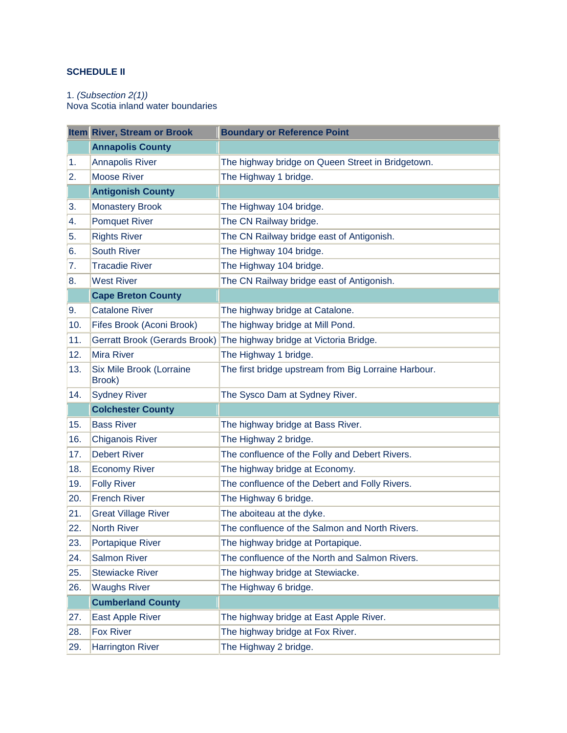## **SCHEDULE II**

## 1. *(Subsection 2(1))*

Nova Scotia inland water boundaries

|     | Item River, Stream or Brook          | <b>Boundary or Reference Point</b>                   |
|-----|--------------------------------------|------------------------------------------------------|
|     | <b>Annapolis County</b>              |                                                      |
| 1.  | <b>Annapolis River</b>               | The highway bridge on Queen Street in Bridgetown.    |
| 2.  | <b>Moose River</b>                   | The Highway 1 bridge.                                |
|     | <b>Antigonish County</b>             |                                                      |
| 3.  | <b>Monastery Brook</b>               | The Highway 104 bridge.                              |
| 4.  | <b>Pomquet River</b>                 | The CN Railway bridge.                               |
| 5.  | <b>Rights River</b>                  | The CN Railway bridge east of Antigonish.            |
| 6.  | <b>South River</b>                   | The Highway 104 bridge.                              |
| 7.  | <b>Tracadie River</b>                | The Highway 104 bridge.                              |
| 8.  | <b>West River</b>                    | The CN Railway bridge east of Antigonish.            |
|     | <b>Cape Breton County</b>            |                                                      |
| 9.  | <b>Catalone River</b>                | The highway bridge at Catalone.                      |
| 10. | Fifes Brook (Aconi Brook)            | The highway bridge at Mill Pond.                     |
| 11. | <b>Gerratt Brook (Gerards Brook)</b> | The highway bridge at Victoria Bridge.               |
| 12. | <b>Mira River</b>                    | The Highway 1 bridge.                                |
| 13. | Six Mile Brook (Lorraine<br>Brook)   | The first bridge upstream from Big Lorraine Harbour. |
| 14. | <b>Sydney River</b>                  | The Sysco Dam at Sydney River.                       |
|     | <b>Colchester County</b>             |                                                      |
| 15. | <b>Bass River</b>                    | The highway bridge at Bass River.                    |
| 16. | <b>Chiganois River</b>               | The Highway 2 bridge.                                |
| 17. | <b>Debert River</b>                  | The confluence of the Folly and Debert Rivers.       |
| 18. | <b>Economy River</b>                 | The highway bridge at Economy.                       |
| 19. | <b>Folly River</b>                   | The confluence of the Debert and Folly Rivers.       |
| 20. | <b>French River</b>                  | The Highway 6 bridge.                                |
| 21. | <b>Great Village River</b>           | The aboiteau at the dyke.                            |
| 22. | <b>North River</b>                   | The confluence of the Salmon and North Rivers.       |
| 23. | Portapique River                     | The highway bridge at Portapique.                    |
| 24. | <b>Salmon River</b>                  | The confluence of the North and Salmon Rivers.       |
| 25. | <b>Stewiacke River</b>               | The highway bridge at Stewiacke.                     |
| 26. | <b>Waughs River</b>                  | The Highway 6 bridge.                                |
|     | <b>Cumberland County</b>             |                                                      |
| 27. | East Apple River                     | The highway bridge at East Apple River.              |
| 28. | <b>Fox River</b>                     | The highway bridge at Fox River.                     |
| 29. | <b>Harrington River</b>              | The Highway 2 bridge.                                |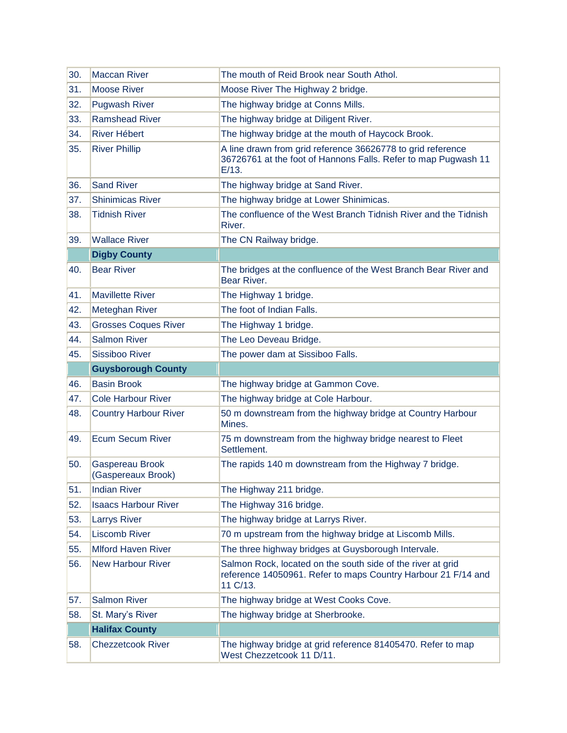| 30. | <b>Maccan River</b>                   | The mouth of Reid Brook near South Athol.                                                                                                 |
|-----|---------------------------------------|-------------------------------------------------------------------------------------------------------------------------------------------|
| 31. | <b>Moose River</b>                    | Moose River The Highway 2 bridge.                                                                                                         |
| 32. | <b>Pugwash River</b>                  | The highway bridge at Conns Mills.                                                                                                        |
| 33. | <b>Ramshead River</b>                 | The highway bridge at Diligent River.                                                                                                     |
| 34. | <b>River Hébert</b>                   | The highway bridge at the mouth of Haycock Brook.                                                                                         |
| 35. | <b>River Phillip</b>                  | A line drawn from grid reference 36626778 to grid reference<br>36726761 at the foot of Hannons Falls. Refer to map Pugwash 11<br>$E/13$ . |
| 36. | <b>Sand River</b>                     | The highway bridge at Sand River.                                                                                                         |
| 37. | <b>Shinimicas River</b>               | The highway bridge at Lower Shinimicas.                                                                                                   |
| 38. | <b>Tidnish River</b>                  | The confluence of the West Branch Tidnish River and the Tidnish<br>River.                                                                 |
| 39. | <b>Wallace River</b>                  | The CN Railway bridge.                                                                                                                    |
|     | <b>Digby County</b>                   |                                                                                                                                           |
| 40. | <b>Bear River</b>                     | The bridges at the confluence of the West Branch Bear River and<br>Bear River.                                                            |
| 41. | <b>Mavillette River</b>               | The Highway 1 bridge.                                                                                                                     |
| 42. | Meteghan River                        | The foot of Indian Falls.                                                                                                                 |
| 43. | <b>Grosses Coques River</b>           | The Highway 1 bridge.                                                                                                                     |
| 44. | <b>Salmon River</b>                   | The Leo Deveau Bridge.                                                                                                                    |
| 45. | <b>Sissiboo River</b>                 | The power dam at Sissiboo Falls.                                                                                                          |
|     |                                       |                                                                                                                                           |
|     | <b>Guysborough County</b>             |                                                                                                                                           |
| 46. | <b>Basin Brook</b>                    | The highway bridge at Gammon Cove.                                                                                                        |
| 47. | <b>Cole Harbour River</b>             | The highway bridge at Cole Harbour.                                                                                                       |
| 48. | <b>Country Harbour River</b>          | 50 m downstream from the highway bridge at Country Harbour<br>Mines.                                                                      |
| 49. | <b>Ecum Secum River</b>               | 75 m downstream from the highway bridge nearest to Fleet<br>Settlement.                                                                   |
| 50. | Gaspereau Brook<br>(Gaspereaux Brook) | The rapids 140 m downstream from the Highway 7 bridge.                                                                                    |
| 51. | <b>Indian River</b>                   | The Highway 211 bridge.                                                                                                                   |
| 52. | <b>Isaacs Harbour River</b>           | The Highway 316 bridge.                                                                                                                   |
| 53. | <b>Larrys River</b>                   | The highway bridge at Larrys River.                                                                                                       |
| 54. | <b>Liscomb River</b>                  | 70 m upstream from the highway bridge at Liscomb Mills.                                                                                   |
| 55. | <b>Mlford Haven River</b>             | The three highway bridges at Guysborough Intervale.                                                                                       |
| 56. | <b>New Harbour River</b>              | Salmon Rock, located on the south side of the river at grid<br>reference 14050961. Refer to maps Country Harbour 21 F/14 and<br>11 C/13.  |
| 57. | <b>Salmon River</b>                   | The highway bridge at West Cooks Cove.                                                                                                    |
| 58. | St. Mary's River                      | The highway bridge at Sherbrooke.                                                                                                         |
|     | <b>Halifax County</b>                 |                                                                                                                                           |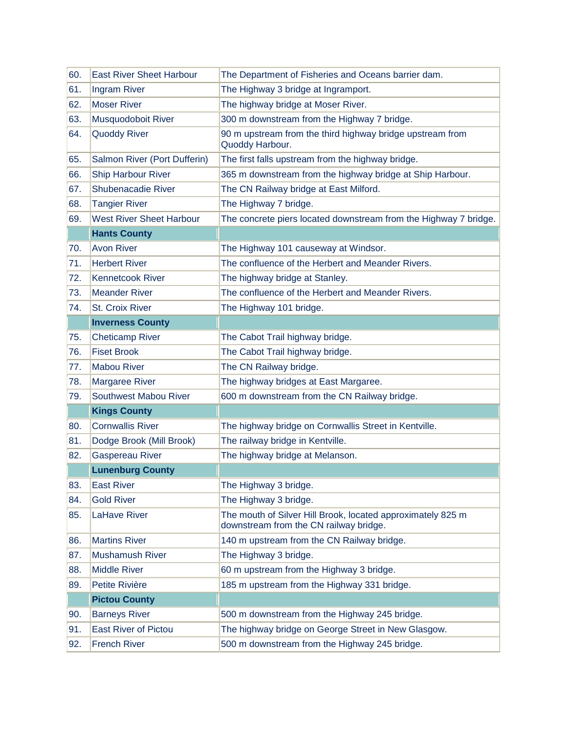| 60. | <b>East River Sheet Harbour</b> | The Department of Fisheries and Oceans barrier dam.                                                   |
|-----|---------------------------------|-------------------------------------------------------------------------------------------------------|
| 61. | Ingram River                    | The Highway 3 bridge at Ingramport.                                                                   |
| 62. | <b>Moser River</b>              | The highway bridge at Moser River.                                                                    |
| 63. | Musquodoboit River              | 300 m downstream from the Highway 7 bridge.                                                           |
| 64. | <b>Quoddy River</b>             | 90 m upstream from the third highway bridge upstream from<br>Quoddy Harbour.                          |
| 65. | Salmon River (Port Dufferin)    | The first falls upstream from the highway bridge.                                                     |
| 66. | <b>Ship Harbour River</b>       | 365 m downstream from the highway bridge at Ship Harbour.                                             |
| 67. | Shubenacadie River              | The CN Railway bridge at East Milford.                                                                |
| 68. | <b>Tangier River</b>            | The Highway 7 bridge.                                                                                 |
| 69. | <b>West River Sheet Harbour</b> | The concrete piers located downstream from the Highway 7 bridge.                                      |
|     | <b>Hants County</b>             |                                                                                                       |
| 70. | <b>Avon River</b>               | The Highway 101 causeway at Windsor.                                                                  |
| 71. | <b>Herbert River</b>            | The confluence of the Herbert and Meander Rivers.                                                     |
| 72. | <b>Kennetcook River</b>         | The highway bridge at Stanley.                                                                        |
| 73. | <b>Meander River</b>            | The confluence of the Herbert and Meander Rivers.                                                     |
| 74. | <b>St. Croix River</b>          | The Highway 101 bridge.                                                                               |
|     | <b>Inverness County</b>         |                                                                                                       |
| 75. | <b>Cheticamp River</b>          | The Cabot Trail highway bridge.                                                                       |
| 76. | <b>Fiset Brook</b>              | The Cabot Trail highway bridge.                                                                       |
| 77. | <b>Mabou River</b>              | The CN Railway bridge.                                                                                |
| 78. | <b>Margaree River</b>           | The highway bridges at East Margaree.                                                                 |
| 79. | Southwest Mabou River           | 600 m downstream from the CN Railway bridge.                                                          |
|     | <b>Kings County</b>             |                                                                                                       |
| 80. | <b>Cornwallis River</b>         | The highway bridge on Cornwallis Street in Kentville.                                                 |
| 81. | Dodge Brook (Mill Brook)        | The railway bridge in Kentville.                                                                      |
| 82. | <b>Gaspereau River</b>          | The highway bridge at Melanson.                                                                       |
|     | <b>Lunenburg County</b>         |                                                                                                       |
| 83. | <b>East River</b>               | The Highway 3 bridge.                                                                                 |
| 84. | <b>Gold River</b>               | The Highway 3 bridge.                                                                                 |
| 85. | LaHave River                    | The mouth of Silver Hill Brook, located approximately 825 m<br>downstream from the CN railway bridge. |
| 86. | <b>Martins River</b>            | 140 m upstream from the CN Railway bridge.                                                            |
| 87. | <b>Mushamush River</b>          | The Highway 3 bridge.                                                                                 |
| 88. | <b>Middle River</b>             | 60 m upstream from the Highway 3 bridge.                                                              |
| 89. | Petite Rivière                  | 185 m upstream from the Highway 331 bridge.                                                           |
|     | <b>Pictou County</b>            |                                                                                                       |
| 90. | <b>Barneys River</b>            | 500 m downstream from the Highway 245 bridge.                                                         |
| 91. | <b>East River of Pictou</b>     | The highway bridge on George Street in New Glasgow.                                                   |
| 92. | <b>French River</b>             | 500 m downstream from the Highway 245 bridge.                                                         |